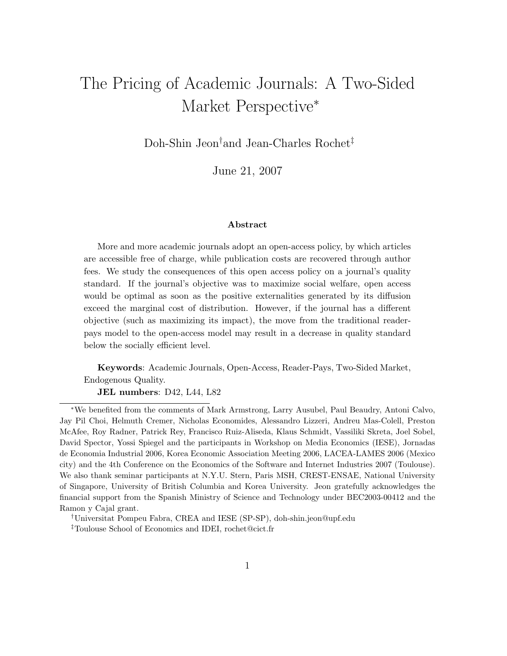# The Pricing of Academic Journals: A Two-Sided Market Perspective<sup>∗</sup>

Doh-Shin Jeon† and Jean-Charles Rochet‡

June 21, 2007

#### **Abstract**

More and more academic journals adopt an open-access policy, by which articles are accessible free of charge, while publication costs are recovered through author fees. We study the consequences of this open access policy on a journal's quality standard. If the journal's objective was to maximize social welfare, open access would be optimal as soon as the positive externalities generated by its diffusion exceed the marginal cost of distribution. However, if the journal has a different objective (such as maximizing its impact), the move from the traditional readerpays model to the open-access model may result in a decrease in quality standard below the socially efficient level.

**Keywords**: Academic Journals, Open-Access, Reader-Pays, Two-Sided Market, Endogenous Quality.

**JEL numbers**: D42, L44, L82

†Universitat Pompeu Fabra, CREA and IESE (SP-SP), doh-shin.jeon@upf.edu

‡Toulouse School of Economics and IDEI, rochet@cict.fr

<sup>∗</sup>We benefited from the comments of Mark Armstrong, Larry Ausubel, Paul Beaudry, Antoni Calvo, Jay Pil Choi, Helmuth Cremer, Nicholas Economides, Alessandro Lizzeri, Andreu Mas-Colell, Preston McAfee, Roy Radner, Patrick Rey, Francisco Ruiz-Aliseda, Klaus Schmidt, Vassiliki Skreta, Joel Sobel, David Spector, Yossi Spiegel and the participants in Workshop on Media Economics (IESE), Jornadas de Economia Industrial 2006, Korea Economic Association Meeting 2006, LACEA-LAMES 2006 (Mexico city) and the 4th Conference on the Economics of the Software and Internet Industries 2007 (Toulouse). We also thank seminar participants at N.Y.U. Stern, Paris MSH, CREST-ENSAE, National University of Singapore, University of British Columbia and Korea University. Jeon gratefully acknowledges the financial support from the Spanish Ministry of Science and Technology under BEC2003-00412 and the Ramon y Cajal grant.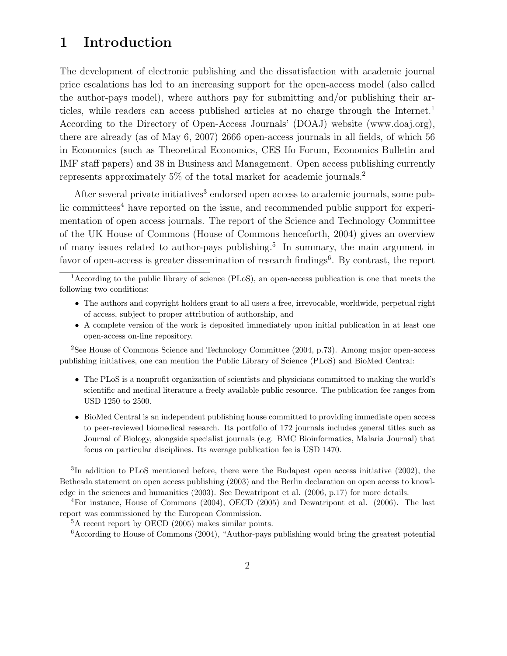# **1 Introduction**

The development of electronic publishing and the dissatisfaction with academic journal price escalations has led to an increasing support for the open-access model (also called the author-pays model), where authors pay for submitting and/or publishing their articles, while readers can access published articles at no charge through the Internet.<sup>1</sup> According to the Directory of Open-Access Journals' (DOAJ) website (www.doaj.org), there are already (as of May 6, 2007) 2666 open-access journals in all fields, of which 56 in Economics (such as Theoretical Economics, CES Ifo Forum, Economics Bulletin and IMF staff papers) and 38 in Business and Management. Open access publishing currently represents approximately 5% of the total market for academic journals.<sup>2</sup>

After several private initiatives<sup>3</sup> endorsed open access to academic journals, some public committees<sup>4</sup> have reported on the issue, and recommended public support for experimentation of open access journals. The report of the Science and Technology Committee of the UK House of Commons (House of Commons henceforth, 2004) gives an overview of many issues related to author-pays publishing.<sup>5</sup> In summary, the main argument in favor of open-access is greater dissemination of research findings<sup>6</sup>. By contrast, the report

- The authors and copyright holders grant to all users a free, irrevocable, worldwide, perpetual right of access, subject to proper attribution of authorship, and
- A complete version of the work is deposited immediately upon initial publication in at least one open-access on-line repository.

<sup>2</sup>See House of Commons Science and Technology Committee (2004, p.73). Among major open-access publishing initiatives, one can mention the Public Library of Science (PLoS) and BioMed Central:

- The PLoS is a nonprofit organization of scientists and physicians committed to making the world's scientific and medical literature a freely available public resource. The publication fee ranges from USD 1250 to 2500.
- BioMed Central is an independent publishing house committed to providing immediate open access to peer-reviewed biomedical research. Its portfolio of 172 journals includes general titles such as Journal of Biology, alongside specialist journals (e.g. BMC Bioinformatics, Malaria Journal) that focus on particular disciplines. Its average publication fee is USD 1470.

<sup>3</sup>In addition to PLoS mentioned before, there were the Budapest open access initiative (2002), the Bethesda statement on open access publishing (2003) and the Berlin declaration on open access to knowledge in the sciences and humanities (2003). See Dewatripont et al. (2006, p.17) for more details.

<sup>4</sup>For instance, House of Commons (2004), OECD (2005) and Dewatripont et al. (2006). The last report was commissioned by the European Commission.

<sup>5</sup>A recent report by OECD (2005) makes similar points.

 $6$ According to House of Commons (2004), "Author-pays publishing would bring the greatest potential

<sup>1</sup>According to the public library of science (PLoS), an open-access publication is one that meets the following two conditions: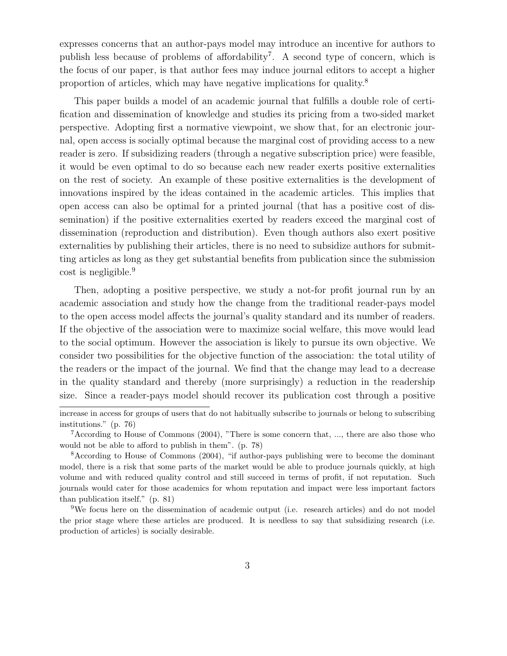expresses concerns that an author-pays model may introduce an incentive for authors to publish less because of problems of affordability<sup>7</sup>. A second type of concern, which is the focus of our paper, is that author fees may induce journal editors to accept a higher proportion of articles, which may have negative implications for quality.<sup>8</sup>

This paper builds a model of an academic journal that fulfills a double role of certification and dissemination of knowledge and studies its pricing from a two-sided market perspective. Adopting first a normative viewpoint, we show that, for an electronic journal, open access is socially optimal because the marginal cost of providing access to a new reader is zero. If subsidizing readers (through a negative subscription price) were feasible, it would be even optimal to do so because each new reader exerts positive externalities on the rest of society. An example of these positive externalities is the development of innovations inspired by the ideas contained in the academic articles. This implies that open access can also be optimal for a printed journal (that has a positive cost of dissemination) if the positive externalities exerted by readers exceed the marginal cost of dissemination (reproduction and distribution). Even though authors also exert positive externalities by publishing their articles, there is no need to subsidize authors for submitting articles as long as they get substantial benefits from publication since the submission cost is negligible.<sup>9</sup>

Then, adopting a positive perspective, we study a not-for profit journal run by an academic association and study how the change from the traditional reader-pays model to the open access model affects the journal's quality standard and its number of readers. If the objective of the association were to maximize social welfare, this move would lead to the social optimum. However the association is likely to pursue its own objective. We consider two possibilities for the objective function of the association: the total utility of the readers or the impact of the journal. We find that the change may lead to a decrease in the quality standard and thereby (more surprisingly) a reduction in the readership size. Since a reader-pays model should recover its publication cost through a positive

increase in access for groups of users that do not habitually subscribe to journals or belong to subscribing institutions." (p. 76)

<sup>7</sup>According to House of Commons (2004), "There is some concern that, ..., there are also those who would not be able to afford to publish in them". (p. 78)

<sup>8</sup>According to House of Commons (2004), "if author-pays publishing were to become the dominant model, there is a risk that some parts of the market would be able to produce journals quickly, at high volume and with reduced quality control and still succeed in terms of profit, if not reputation. Such journals would cater for those academics for whom reputation and impact were less important factors than publication itself." (p. 81)

<sup>&</sup>lt;sup>9</sup>We focus here on the dissemination of academic output (i.e. research articles) and do not model the prior stage where these articles are produced. It is needless to say that subsidizing research (i.e. production of articles) is socially desirable.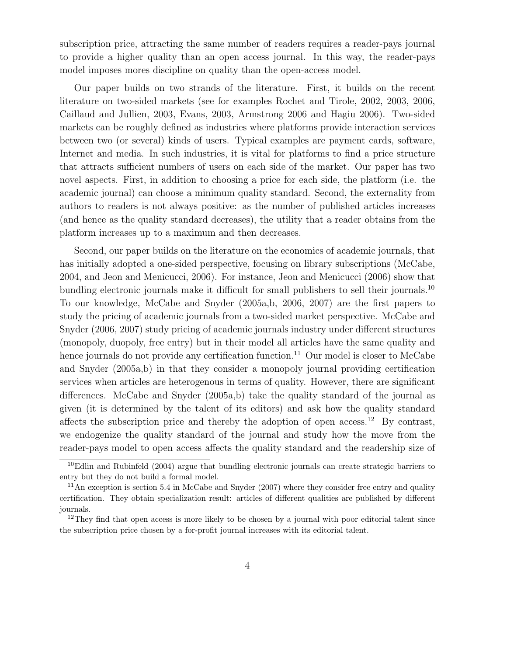subscription price, attracting the same number of readers requires a reader-pays journal to provide a higher quality than an open access journal. In this way, the reader-pays model imposes mores discipline on quality than the open-access model.

Our paper builds on two strands of the literature. First, it builds on the recent literature on two-sided markets (see for examples Rochet and Tirole, 2002, 2003, 2006, Caillaud and Jullien, 2003, Evans, 2003, Armstrong 2006 and Hagiu 2006). Two-sided markets can be roughly defined as industries where platforms provide interaction services between two (or several) kinds of users. Typical examples are payment cards, software, Internet and media. In such industries, it is vital for platforms to find a price structure that attracts sufficient numbers of users on each side of the market. Our paper has two novel aspects. First, in addition to choosing a price for each side, the platform (i.e. the academic journal) can choose a minimum quality standard. Second, the externality from authors to readers is not always positive: as the number of published articles increases (and hence as the quality standard decreases), the utility that a reader obtains from the platform increases up to a maximum and then decreases.

Second, our paper builds on the literature on the economics of academic journals, that has initially adopted a one-sided perspective, focusing on library subscriptions (McCabe, 2004, and Jeon and Menicucci, 2006). For instance, Jeon and Menicucci (2006) show that bundling electronic journals make it difficult for small publishers to sell their journals.<sup>10</sup> To our knowledge, McCabe and Snyder (2005a,b, 2006, 2007) are the first papers to study the pricing of academic journals from a two-sided market perspective. McCabe and Snyder (2006, 2007) study pricing of academic journals industry under different structures (monopoly, duopoly, free entry) but in their model all articles have the same quality and hence journals do not provide any certification function.<sup>11</sup> Our model is closer to McCabe and Snyder (2005a,b) in that they consider a monopoly journal providing certification services when articles are heterogenous in terms of quality. However, there are significant differences. McCabe and Snyder (2005a,b) take the quality standard of the journal as given (it is determined by the talent of its editors) and ask how the quality standard affects the subscription price and thereby the adoption of open access.<sup>12</sup> By contrast, we endogenize the quality standard of the journal and study how the move from the reader-pays model to open access affects the quality standard and the readership size of

 $10E$ dlin and Rubinfeld (2004) argue that bundling electronic journals can create strategic barriers to entry but they do not build a formal model.

 $11$ An exception is section 5.4 in McCabe and Snyder (2007) where they consider free entry and quality certification. They obtain specialization result: articles of different qualities are published by different journals.

 $12$ They find that open access is more likely to be chosen by a journal with poor editorial talent since the subscription price chosen by a for-profit journal increases with its editorial talent.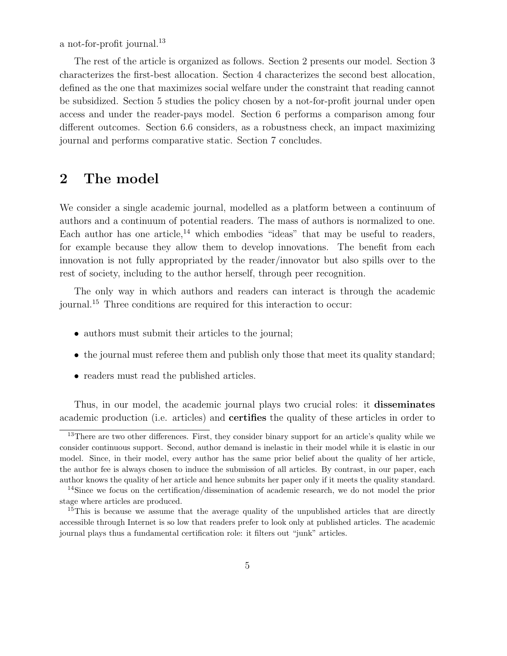a not-for-profit journal.<sup>13</sup>

The rest of the article is organized as follows. Section 2 presents our model. Section 3 characterizes the first-best allocation. Section 4 characterizes the second best allocation, defined as the one that maximizes social welfare under the constraint that reading cannot be subsidized. Section 5 studies the policy chosen by a not-for-profit journal under open access and under the reader-pays model. Section 6 performs a comparison among four different outcomes. Section 6.6 considers, as a robustness check, an impact maximizing journal and performs comparative static. Section 7 concludes.

# **2 The model**

We consider a single academic journal, modelled as a platform between a continuum of authors and a continuum of potential readers. The mass of authors is normalized to one. Each author has one article,<sup>14</sup> which embodies "ideas" that may be useful to readers, for example because they allow them to develop innovations. The benefit from each innovation is not fully appropriated by the reader/innovator but also spills over to the rest of society, including to the author herself, through peer recognition.

The only way in which authors and readers can interact is through the academic journal.<sup>15</sup> Three conditions are required for this interaction to occur:

- authors must submit their articles to the journal;
- the journal must referee them and publish only those that meet its quality standard;
- readers must read the published articles.

Thus, in our model, the academic journal plays two crucial roles: it **disseminates** academic production (i.e. articles) and **certifies** the quality of these articles in order to

<sup>&</sup>lt;sup>13</sup>There are two other differences. First, they consider binary support for an article's quality while we consider continuous support. Second, author demand is inelastic in their model while it is elastic in our model. Since, in their model, every author has the same prior belief about the quality of her article, the author fee is always chosen to induce the submission of all articles. By contrast, in our paper, each author knows the quality of her article and hence submits her paper only if it meets the quality standard.

<sup>&</sup>lt;sup>14</sup>Since we focus on the certification/dissemination of academic research, we do not model the prior stage where articles are produced.

<sup>&</sup>lt;sup>15</sup>This is because we assume that the average quality of the unpublished articles that are directly accessible through Internet is so low that readers prefer to look only at published articles. The academic journal plays thus a fundamental certification role: it filters out "junk" articles.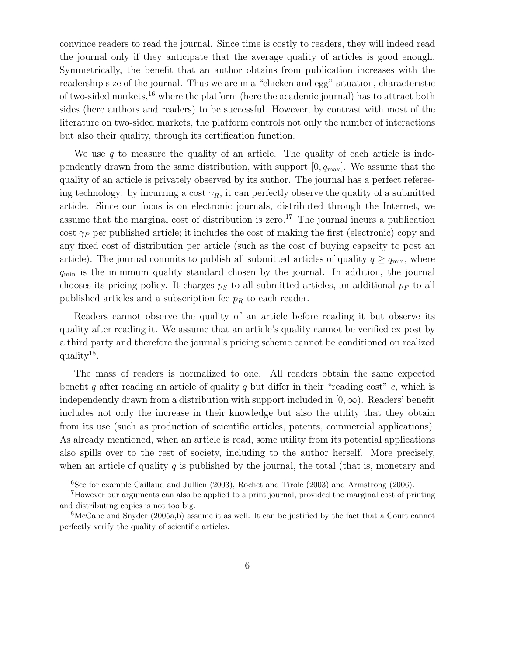convince readers to read the journal. Since time is costly to readers, they will indeed read the journal only if they anticipate that the average quality of articles is good enough. Symmetrically, the benefit that an author obtains from publication increases with the readership size of the journal. Thus we are in a "chicken and egg" situation, characteristic of two-sided markets,<sup>16</sup> where the platform (here the academic journal) has to attract both sides (here authors and readers) to be successful. However, by contrast with most of the literature on two-sided markets, the platform controls not only the number of interactions but also their quality, through its certification function.

We use q to measure the quality of an article. The quality of each article is independently drawn from the same distribution, with support  $[0, q_{\text{max}}]$ . We assume that the quality of an article is privately observed by its author. The journal has a perfect refereeing technology: by incurring a cost  $\gamma_R$ , it can perfectly observe the quality of a submitted article. Since our focus is on electronic journals, distributed through the Internet, we assume that the marginal cost of distribution is zero.<sup>17</sup> The journal incurs a publication cost  $\gamma_P$  per published article; it includes the cost of making the first (electronic) copy and any fixed cost of distribution per article (such as the cost of buying capacity to post an article). The journal commits to publish all submitted articles of quality  $q \geq q_{\text{min}}$ , where  $q<sub>min</sub>$  is the minimum quality standard chosen by the journal. In addition, the journal chooses its pricing policy. It charges  $p<sub>S</sub>$  to all submitted articles, an additional  $p<sub>P</sub>$  to all published articles and a subscription fee  $p_R$  to each reader.

Readers cannot observe the quality of an article before reading it but observe its quality after reading it. We assume that an article's quality cannot be verified ex post by a third party and therefore the journal's pricing scheme cannot be conditioned on realized quality<sup>18</sup>.

The mass of readers is normalized to one. All readers obtain the same expected benefit q after reading an article of quality q but differ in their "reading cost" c, which is independently drawn from a distribution with support included in  $[0, \infty)$ . Readers' benefit includes not only the increase in their knowledge but also the utility that they obtain from its use (such as production of scientific articles, patents, commercial applications). As already mentioned, when an article is read, some utility from its potential applications also spills over to the rest of society, including to the author herself. More precisely, when an article of quality q is published by the journal, the total (that is, monetary and

<sup>&</sup>lt;sup>16</sup>See for example Caillaud and Jullien  $(2003)$ , Rochet and Tirole  $(2003)$  and Armstrong  $(2006)$ .

<sup>&</sup>lt;sup>17</sup>However our arguments can also be applied to a print journal, provided the marginal cost of printing and distributing copies is not too big.

<sup>&</sup>lt;sup>18</sup>McCabe and Snyder (2005a,b) assume it as well. It can be justified by the fact that a Court cannot perfectly verify the quality of scientific articles.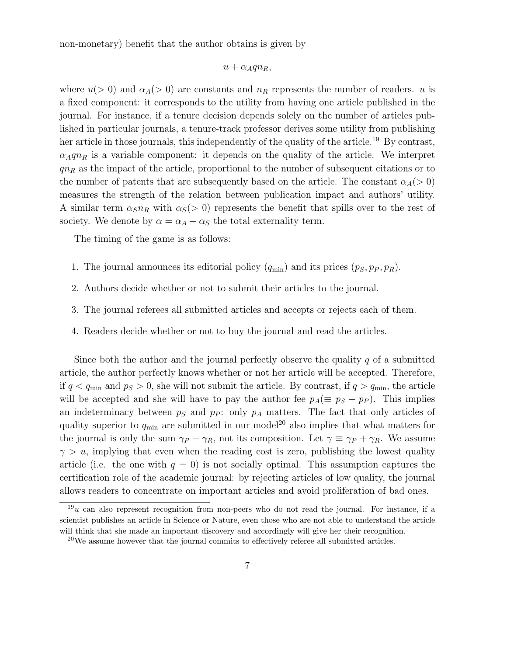non-monetary) benefit that the author obtains is given by

$$
u+\alpha_Aqn_R,
$$

where  $u(> 0)$  and  $\alpha_A(> 0)$  are constants and  $n_R$  represents the number of readers. u is a fixed component: it corresponds to the utility from having one article published in the journal. For instance, if a tenure decision depends solely on the number of articles published in particular journals, a tenure-track professor derives some utility from publishing her article in those journals, this independently of the quality of the article.<sup>19</sup> By contrast,  $\alpha_A q n_R$  is a variable component: it depends on the quality of the article. We interpret  $qn<sub>R</sub>$  as the impact of the article, proportional to the number of subsequent citations or to the number of patents that are subsequently based on the article. The constant  $\alpha_A(>0)$ measures the strength of the relation between publication impact and authors' utility. A similar term  $\alpha_S n_R$  with  $\alpha_S(> 0)$  represents the benefit that spills over to the rest of society. We denote by  $\alpha = \alpha_A + \alpha_S$  the total externality term.

The timing of the game is as follows:

- 1. The journal announces its editorial policy  $(q_{\min})$  and its prices  $(p_S, p_P, p_R)$ .
- 2. Authors decide whether or not to submit their articles to the journal.
- 3. The journal referees all submitted articles and accepts or rejects each of them.
- 4. Readers decide whether or not to buy the journal and read the articles.

Since both the author and the journal perfectly observe the quality  $q$  of a submitted article, the author perfectly knows whether or not her article will be accepted. Therefore, if  $q < q_{\text{min}}$  and  $p_S > 0$ , she will not submit the article. By contrast, if  $q > q_{\text{min}}$ , the article will be accepted and she will have to pay the author fee  $p_A(\equiv p_S + p_P)$ . This implies an indeterminacy between  $p_S$  and  $p_P$ : only  $p_A$  matters. The fact that only articles of quality superior to  $q_{\min}$  are submitted in our model<sup>20</sup> also implies that what matters for the journal is only the sum  $\gamma_P + \gamma_R$ , not its composition. Let  $\gamma \equiv \gamma_P + \gamma_R$ . We assume  $\gamma > u$ , implying that even when the reading cost is zero, publishing the lowest quality article (i.e. the one with  $q = 0$ ) is not socially optimal. This assumption captures the certification role of the academic journal: by rejecting articles of low quality, the journal allows readers to concentrate on important articles and avoid proliferation of bad ones.

 $19u$  can also represent recognition from non-peers who do not read the journal. For instance, if a scientist publishes an article in Science or Nature, even those who are not able to understand the article will think that she made an important discovery and accordingly will give her their recognition.

 $^{20}$ We assume however that the journal commits to effectively referee all submitted articles.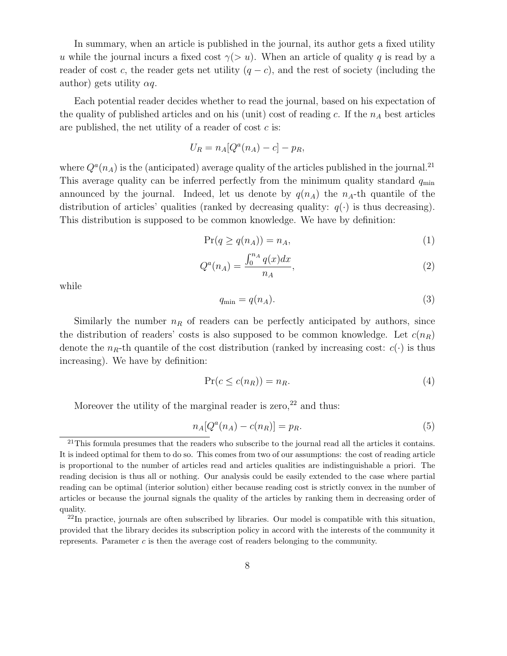In summary, when an article is published in the journal, its author gets a fixed utility u while the journal incurs a fixed cost  $\gamma(> u)$ . When an article of quality q is read by a reader of cost c, the reader gets net utility  $(q - c)$ , and the rest of society (including the author) gets utility  $\alpha q$ .

Each potential reader decides whether to read the journal, based on his expectation of the quality of published articles and on his (unit) cost of reading c. If the  $n_A$  best articles are published, the net utility of a reader of cost  $c$  is:

$$
U_R = n_A [Q^a(n_A) - c] - p_R,
$$

where  $Q^{a}(n_A)$  is the (anticipated) average quality of the articles published in the journal.<sup>21</sup> This average quality can be inferred perfectly from the minimum quality standard  $q_{\min}$ announced by the journal. Indeed, let us denote by  $q(n_A)$  the  $n_A$ -th quantile of the distribution of articles' qualities (ranked by decreasing quality:  $q(\cdot)$  is thus decreasing). This distribution is supposed to be common knowledge. We have by definition:

$$
\Pr(q \ge q(n_A)) = n_A,\tag{1}
$$

$$
Q^{a}(n_{A}) = \frac{\int_{0}^{n_{A}} q(x)dx}{n_{A}},
$$
\n(2)

while

$$
q_{\min} = q(n_A). \tag{3}
$$

Similarly the number  $n_R$  of readers can be perfectly anticipated by authors, since the distribution of readers' costs is also supposed to be common knowledge. Let  $c(n_R)$ denote the  $n_R$ -th quantile of the cost distribution (ranked by increasing cost:  $c(\cdot)$  is thus increasing). We have by definition:

$$
Pr(c \le c(n_R)) = n_R. \tag{4}
$$

Moreover the utility of the marginal reader is zero,  $22$  and thus:

$$
n_A[Q^a(n_A) - c(n_R)] = p_R. \tag{5}
$$

 $21$ This formula presumes that the readers who subscribe to the journal read all the articles it contains. It is indeed optimal for them to do so. This comes from two of our assumptions: the cost of reading article is proportional to the number of articles read and articles qualities are indistinguishable a priori. The reading decision is thus all or nothing. Our analysis could be easily extended to the case where partial reading can be optimal (interior solution) either because reading cost is strictly convex in the number of articles or because the journal signals the quality of the articles by ranking them in decreasing order of quality.

 $^{22}$ In practice, journals are often subscribed by libraries. Our model is compatible with this situation, provided that the library decides its subscription policy in accord with the interests of the community it represents. Parameter  $c$  is then the average cost of readers belonging to the community.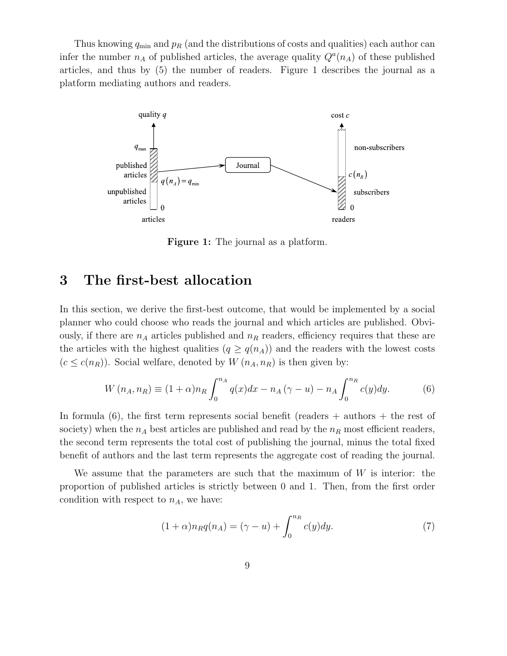Thus knowing  $q_{\min}$  and  $p_R$  (and the distributions of costs and qualities) each author can infer the number  $n_A$  of published articles, the average quality  $Q^a(n_A)$  of these published articles, and thus by (5) the number of readers. Figure 1 describes the journal as a platform mediating authors and readers.



**Figure 1:** The journal as a platform.

### **3 The first-best allocation**

In this section, we derive the first-best outcome, that would be implemented by a social planner who could choose who reads the journal and which articles are published. Obviously, if there are  $n_A$  articles published and  $n_R$  readers, efficiency requires that these are the articles with the highest qualities  $(q \geq q(n_A))$  and the readers with the lowest costs  $(c \leq c(n_R))$ . Social welfare, denoted by  $W(n_A, n_R)$  is then given by:

$$
W(n_A, n_R) \equiv (1 + \alpha) n_R \int_0^{n_A} q(x) dx - n_A (\gamma - u) - n_A \int_0^{n_R} c(y) dy.
$$
 (6)

In formula  $(6)$ , the first term represents social benefit (readers  $+$  authors  $+$  the rest of society) when the  $n_A$  best articles are published and read by the  $n_R$  most efficient readers, the second term represents the total cost of publishing the journal, minus the total fixed benefit of authors and the last term represents the aggregate cost of reading the journal.

We assume that the parameters are such that the maximum of  $W$  is interior: the proportion of published articles is strictly between 0 and 1. Then, from the first order condition with respect to  $n_A$ , we have:

$$
(1+\alpha)n_Rq(n_A) = (\gamma - u) + \int_0^{n_R} c(y)dy.
$$
 (7)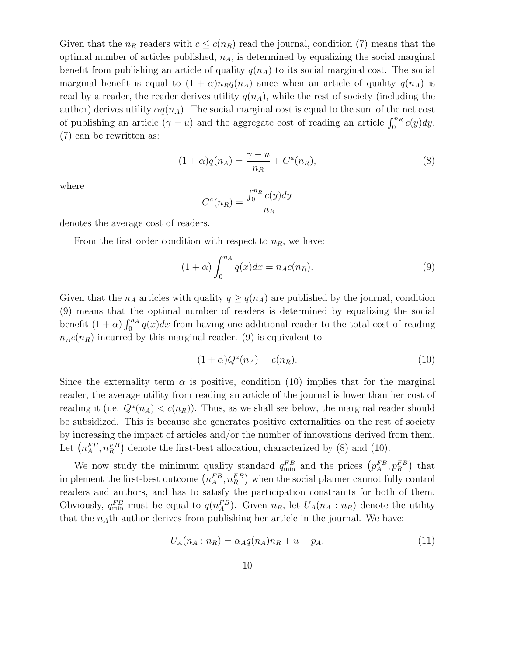Given that the  $n_R$  readers with  $c \leq c(n_R)$  read the journal, condition (7) means that the optimal number of articles published,  $n_A$ , is determined by equalizing the social marginal benefit from publishing an article of quality  $q(n_A)$  to its social marginal cost. The social marginal benefit is equal to  $(1 + \alpha)n_Rq(n_A)$  since when an article of quality  $q(n_A)$  is read by a reader, the reader derives utility  $q(n_A)$ , while the rest of society (including the author) derives utility  $\alpha q(n_A)$ . The social marginal cost is equal to the sum of the net cost of publishing an article  $(\gamma - u)$  and the aggregate cost of reading an article  $\int_0^{n_R} c(y) dy$ . (7) can be rewritten as:

$$
(1+\alpha)q(n_A) = \frac{\gamma - u}{n_R} + C^a(n_R), \tag{8}
$$

where

$$
C^{a}(n_{R}) = \frac{\int_{0}^{n_{R}} c(y) dy}{n_{R}}
$$

denotes the average cost of readers.

From the first order condition with respect to  $n_R$ , we have:

$$
(1+\alpha)\int_0^{n_A} q(x)dx = n_A c(n_R). \tag{9}
$$

Given that the  $n_A$  articles with quality  $q \geq q(n_A)$  are published by the journal, condition (9) means that the optimal number of readers is determined by equalizing the social benefit  $(1 + \alpha) \int_0^{n_A} q(x) dx$  from having one additional reader to the total cost of reading  $n_Ac(n_R)$  incurred by this marginal reader. (9) is equivalent to

$$
(1+\alpha)Q^a(n_A) = c(n_R). \tag{10}
$$

Since the externality term  $\alpha$  is positive, condition (10) implies that for the marginal reader, the average utility from reading an article of the journal is lower than her cost of reading it (i.e.  $Q^{a}(n_A) < c(n_R)$ ). Thus, as we shall see below, the marginal reader should be subsidized. This is because she generates positive externalities on the rest of society by increasing the impact of articles and/or the number of innovations derived from them. Let  $\left(n_A^{FB}, n_B^{FB}\right)$  denote the first-best allocation, characterized by (8) and (10).

We now study the minimum quality standard  $q_{\min}^{FB}$  and the prices  $(p_A^{FB}, p_R^{FB})$  that implement the first-best outcome  $\left(n_A^{FB}, n_R^{FB}\right)$  when the social planner cannot fully control readers and authors, and has to satisfy the participation constraints for both of them. Obviously,  $q_{\min}^{FB}$  must be equal to  $q(n_A^{FB})$ . Given  $n_R$ , let  $U_A(n_A : n_R)$  denote the utility that the  $n_A$ <sup>th</sup> author derives from publishing her article in the journal. We have:

$$
U_A(n_A : n_R) = \alpha_A q(n_A) n_R + u - p_A.
$$
\n(11)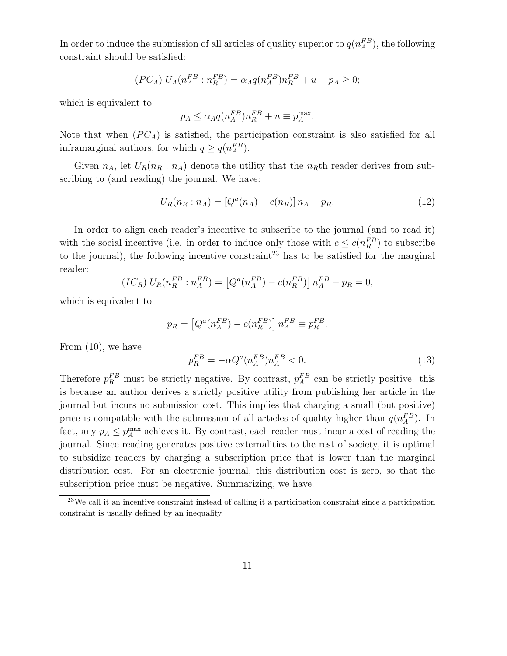In order to induce the submission of all articles of quality superior to  $q(n_A^{FB})$ , the following constraint should be satisfied:

$$
(PC_A) U_A(n_A^{FB}:n_R^{FB}) = \alpha_A q(n_A^{FB}) n_R^{FB} + u - p_A \ge 0;
$$

which is equivalent to

$$
p_A \le \alpha_A q (n_A^{FB}) n_R^{FB} + u \equiv p_A^{\text{max}}.
$$

Note that when  $(PC_A)$  is satisfied, the participation constraint is also satisfied for all inframarginal authors, for which  $q \geq q(n_A^{FB})$ .

Given  $n_A$ , let  $U_R(n_R : n_A)$  denote the utility that the  $n_R$ th reader derives from subscribing to (and reading) the journal. We have:

$$
U_R(n_R : n_A) = [Q^a(n_A) - c(n_R)] n_A - p_R.
$$
 (12)

In order to align each reader's incentive to subscribe to the journal (and to read it) with the social incentive (i.e. in order to induce only those with  $c \leq c(n_R^{FB})$  to subscribe to the journal), the following incentive constraint<sup>23</sup> has to be satisfied for the marginal reader:

$$
(IC_R) U_R(n_R^{FB} : n_A^{FB}) = [Q^a(n_A^{FB}) - c(n_R^{FB})] n_A^{FB} - p_R = 0,
$$

which is equivalent to

$$
p_R = \left[Q^a(n_A^{FB}) - c(n_R^{FB})\right] n_A^{FB} \equiv p_R^{FB}.
$$

From (10), we have

$$
p_R^{FB} = -\alpha Q^a (n_A^{FB}) n_A^{FB} < 0. \tag{13}
$$

Therefore  $p_R^{FB}$  must be strictly negative. By contrast,  $p_A^{FB}$  can be strictly positive: this is because an author derives a strictly positive utility from publishing her article in the journal but incurs no submission cost. This implies that charging a small (but positive) price is compatible with the submission of all articles of quality higher than  $q(n_A^{FB})$ . In fact, any  $p_A \leq p_A^{\text{max}}$  achieves it. By contrast, each reader must incur a cost of reading the journal. Since reading generates positive externalities to the rest of society, it is optimal to subsidize readers by charging a subscription price that is lower than the marginal distribution cost. For an electronic journal, this distribution cost is zero, so that the subscription price must be negative. Summarizing, we have:

<sup>23</sup>We call it an incentive constraint instead of calling it a participation constraint since a participation constraint is usually defined by an inequality.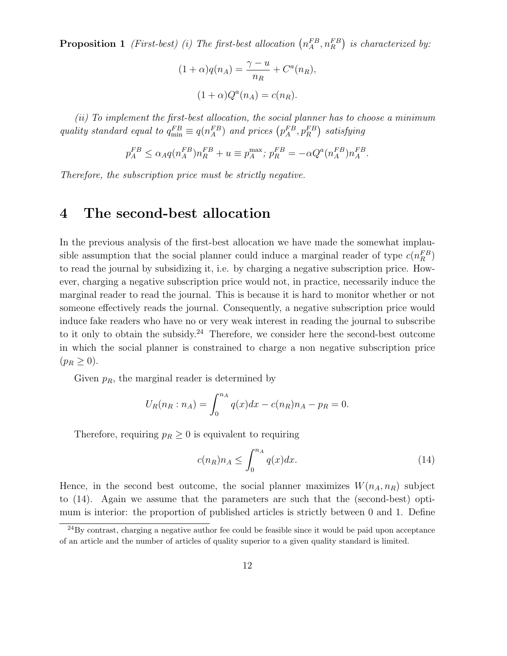**Proposition 1** *(First-best) (i)* The first-best allocation  $(n_A^{FB}, n_R^{FB})$  is characterized by:

$$
(1+\alpha)q(n_A) = \frac{\gamma - u}{n_R} + C^a(n_R),
$$

$$
(1+\alpha)Q^a(n_A) = c(n_R).
$$

*(ii) To implement the first-best allocation, the social planner has to choose a minimum quality standard equal to*  $q_{\min}^{FB} \equiv q(n_A^{FB})$  *and prices*  $(p_A^{FB}, p_B^{FB})$  *satisfying* 

$$
p_A^{FB}\leq \alpha_Aq(n_A^{FB})n_R^{FB}+u\equiv p_A^{\max};\, p_R^{FB}=-\alpha Q^a(n_A^{FB})n_A^{FB}.
$$

*Therefore, the subscription price must be strictly negative.*

### **4 The second-best allocation**

In the previous analysis of the first-best allocation we have made the somewhat implausible assumption that the social planner could induce a marginal reader of type  $c(n_R^{FB})$ to read the journal by subsidizing it, i.e. by charging a negative subscription price. However, charging a negative subscription price would not, in practice, necessarily induce the marginal reader to read the journal. This is because it is hard to monitor whether or not someone effectively reads the journal. Consequently, a negative subscription price would induce fake readers who have no or very weak interest in reading the journal to subscribe to it only to obtain the subsidy.<sup>24</sup> Therefore, we consider here the second-best outcome in which the social planner is constrained to charge a non negative subscription price  $(p_R \geq 0).$ 

Given  $p_R$ , the marginal reader is determined by

$$
U_R(n_R : n_A) = \int_0^{n_A} q(x) dx - c(n_R) n_A - p_R = 0.
$$

Therefore, requiring  $p_R \geq 0$  is equivalent to requiring

$$
c(n_R)n_A \le \int_0^{n_A} q(x)dx.
$$
\n(14)

Hence, in the second best outcome, the social planner maximizes  $W(n_A, n_R)$  subject to (14). Again we assume that the parameters are such that the (second-best) optimum is interior: the proportion of published articles is strictly between 0 and 1. Define

 $^{24}$ By contrast, charging a negative author fee could be feasible since it would be paid upon acceptance of an article and the number of articles of quality superior to a given quality standard is limited.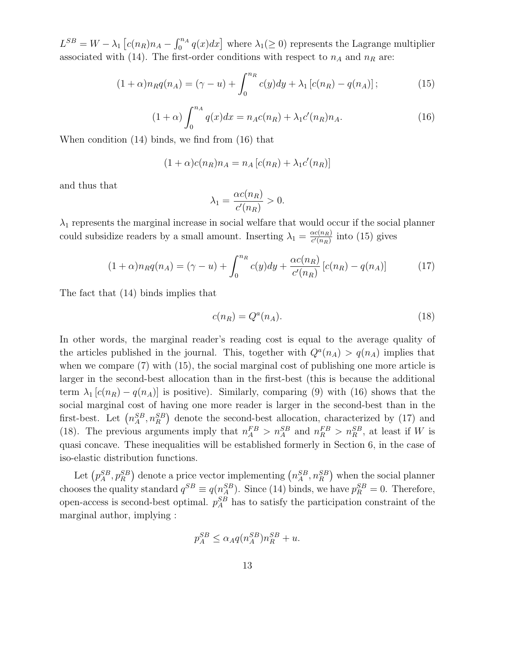$L^{SB} = W - \lambda_1 \left[ c(n_R) n_A - \int_0^{n_A} q(x) dx \right]$  where  $\lambda_1 (\ge 0)$  represents the Lagrange multiplier associated with (14). The first-order conditions with respect to  $n_A$  and  $n_R$  are:

$$
(1+\alpha)n_Rq(n_A) = (\gamma - u) + \int_0^{n_R} c(y)dy + \lambda_1[c(n_R) - q(n_A)]; \qquad (15)
$$

$$
(1+\alpha)\int_0^{n_A} q(x)dx = n_A c(n_R) + \lambda_1 c'(n_R)n_A.
$$
 (16)

When condition (14) binds, we find from (16) that

$$
(1+\alpha)c(n_R)n_A = n_A[c(n_R) + \lambda_1 c'(n_R)]
$$

and thus that

$$
\lambda_1 = \frac{\alpha c(n_R)}{c'(n_R)} > 0.
$$

 $\lambda_1$  represents the marginal increase in social welfare that would occur if the social planner could subsidize readers by a small amount. Inserting  $\lambda_1 = \frac{\alpha c(n_R)}{c'(n_R)}$  into (15) gives

$$
(1+\alpha)n_Rq(n_A) = (\gamma - u) + \int_0^{n_R} c(y)dy + \frac{\alpha c(n_R)}{c'(n_R)} [c(n_R) - q(n_A)] \tag{17}
$$

The fact that (14) binds implies that

$$
c(n_R) = Q^a(n_A). \tag{18}
$$

In other words, the marginal reader's reading cost is equal to the average quality of the articles published in the journal. This, together with  $Q^{a}(n_A) > q(n_A)$  implies that when we compare (7) with (15), the social marginal cost of publishing one more article is larger in the second-best allocation than in the first-best (this is because the additional term  $\lambda_1 [c(n_R) - q(n_A)]$  is positive). Similarly, comparing (9) with (16) shows that the social marginal cost of having one more reader is larger in the second-best than in the first-best. Let  $(n_A^{SB}, n_B^{SB})$  denote the second-best allocation, characterized by (17) and (18). The previous arguments imply that  $n_A^{FB} > n_A^{SB}$  and  $n_R^{FB} > n_R^{SB}$ , at least if W is quasi concave. These inequalities will be established formerly in Section 6, in the case of iso-elastic distribution functions.

Let  $(p_A^{SB}, p_B^{SB})$  denote a price vector implementing  $(n_A^{SB}, n_B^{SB})$  when the social planner chooses the quality standard  $q^{SB} \equiv q(n_A^{SB})$ . Since (14) binds, we have  $p_R^{SB} = 0$ . Therefore, open-access is second-best optimal.  $p_A^{SB}$  has to satisfy the participation constraint of the marginal author, implying :

$$
p_A^{SB} \le \alpha_A q (n_A^{SB}) n_R^{SB} + u.
$$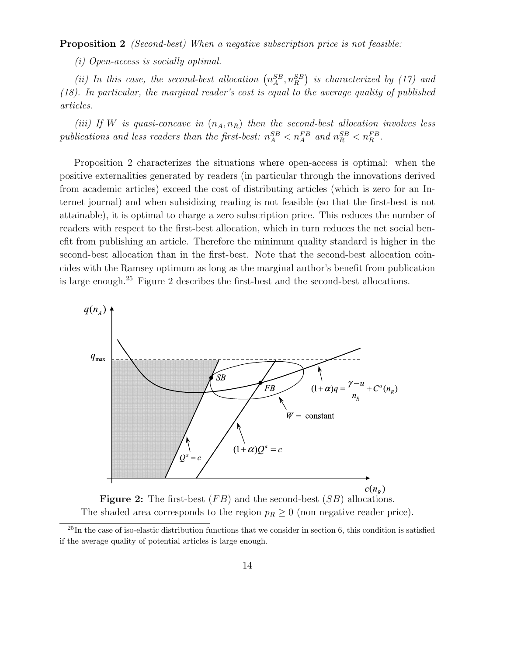**Proposition 2** *(Second-best) When a negative subscription price is not feasible:*

*(i) Open-access is socially optimal.*

(*ii*) In this case, the second-best allocation  $(n_A^{SB}, n_B^{SB})$  is characterized by (17) and *(18). In particular, the marginal reader's cost is equal to the average quality of published articles.*

*(iii) If* W *is quasi-concave in*  $(n_A, n_B)$  *then the second-best allocation involves less* publications and less readers than the first-best:  $n_A^{SB} < n_A^{FB}$  and  $n_R^{SB} < n_R^{FB}$ .

Proposition 2 characterizes the situations where open-access is optimal: when the positive externalities generated by readers (in particular through the innovations derived from academic articles) exceed the cost of distributing articles (which is zero for an Internet journal) and when subsidizing reading is not feasible (so that the first-best is not attainable), it is optimal to charge a zero subscription price. This reduces the number of readers with respect to the first-best allocation, which in turn reduces the net social benefit from publishing an article. Therefore the minimum quality standard is higher in the second-best allocation than in the first-best. Note that the second-best allocation coincides with the Ramsey optimum as long as the marginal author's benefit from publication is large enough.<sup>25</sup> Figure 2 describes the first-best and the second-best allocations.



**Figure 2:** The first-best (*FB*) and the second-best (*SB*) allocations. The shaded area corresponds to the region  $p_R \geq 0$  (non negative reader price).

 $^{25}$ In the case of iso-elastic distribution functions that we consider in section 6, this condition is satisfied if the average quality of potential articles is large enough.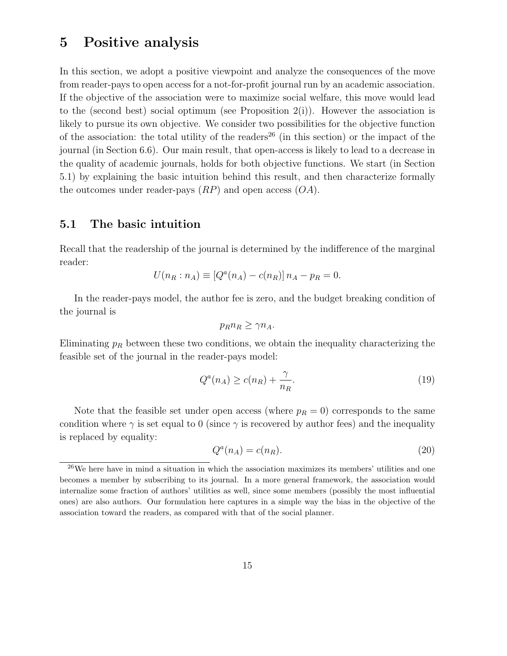# **5 Positive analysis**

In this section, we adopt a positive viewpoint and analyze the consequences of the move from reader-pays to open access for a not-for-profit journal run by an academic association. If the objective of the association were to maximize social welfare, this move would lead to the (second best) social optimum (see Proposition 2(i)). However the association is likely to pursue its own objective. We consider two possibilities for the objective function of the association: the total utility of the readers<sup>26</sup> (in this section) or the impact of the journal (in Section 6.6). Our main result, that open-access is likely to lead to a decrease in the quality of academic journals, holds for both objective functions. We start (in Section 5.1) by explaining the basic intuition behind this result, and then characterize formally the outcomes under reader-pays  $(RP)$  and open access  $(OA)$ .

#### **5.1 The basic intuition**

Recall that the readership of the journal is determined by the indifference of the marginal reader:

$$
U(n_R : n_A) \equiv [Q^{a}(n_A) - c(n_R)] n_A - p_R = 0.
$$

In the reader-pays model, the author fee is zero, and the budget breaking condition of the journal is

$$
p_R n_R \ge \gamma n_A.
$$

Eliminating  $p_R$  between these two conditions, we obtain the inequality characterizing the feasible set of the journal in the reader-pays model:

$$
Q^{a}(n_A) \ge c(n_R) + \frac{\gamma}{n_R}.\tag{19}
$$

Note that the feasible set under open access (where  $p_R = 0$ ) corresponds to the same condition where  $\gamma$  is set equal to 0 (since  $\gamma$  is recovered by author fees) and the inequality is replaced by equality:

$$
Q^a(n_A) = c(n_R). \tag{20}
$$

 $26$ We here have in mind a situation in which the association maximizes its members' utilities and one becomes a member by subscribing to its journal. In a more general framework, the association would internalize some fraction of authors' utilities as well, since some members (possibly the most influential ones) are also authors. Our formulation here captures in a simple way the bias in the objective of the association toward the readers, as compared with that of the social planner.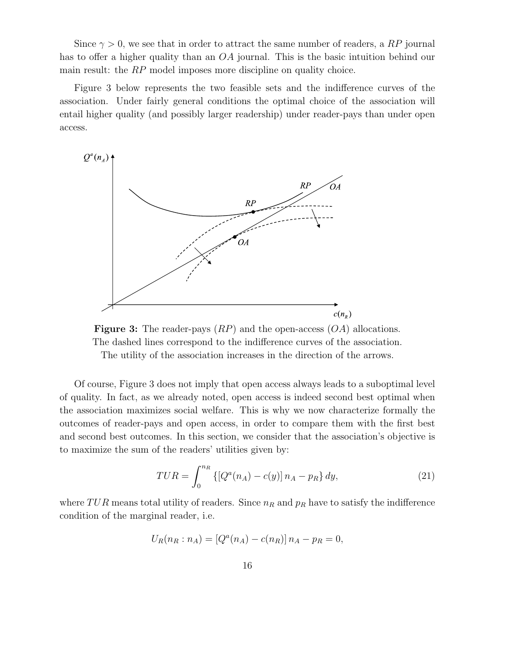Since  $\gamma > 0$ , we see that in order to attract the same number of readers, a RP journal has to offer a higher quality than an OA journal. This is the basic intuition behind our main result: the RP model imposes more discipline on quality choice.

Figure 3 below represents the two feasible sets and the indifference curves of the association. Under fairly general conditions the optimal choice of the association will entail higher quality (and possibly larger readership) under reader-pays than under open access.



**Figure 3:** The reader-pays  $(RP)$  and the open-access  $(OA)$  allocations. The dashed lines correspond to the indifference curves of the association. The utility of the association increases in the direction of the arrows.

Of course, Figure 3 does not imply that open access always leads to a suboptimal level of quality. In fact, as we already noted, open access is indeed second best optimal when the association maximizes social welfare. This is why we now characterize formally the outcomes of reader-pays and open access, in order to compare them with the first best and second best outcomes. In this section, we consider that the association's objective is to maximize the sum of the readers' utilities given by:

$$
TUR = \int_0^{n_R} \{ [Q^a(n_A) - c(y)] n_A - p_R \} dy,
$$
\n(21)

where  $TUR$  means total utility of readers. Since  $n_R$  and  $p_R$  have to satisfy the indifference condition of the marginal reader, i.e.

$$
U_R(n_R : n_A) = [Q^a(n_A) - c(n_R)] n_A - p_R = 0,
$$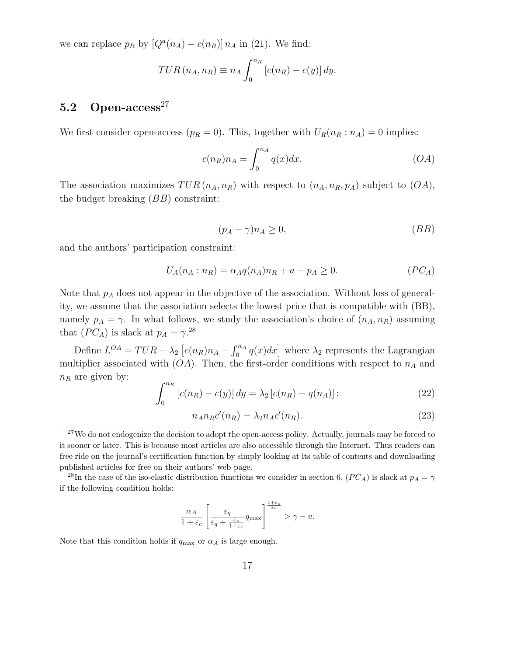we can replace  $p_R$  by  $[Q^a(n_A) - c(n_R)] n_A$  in (21). We find:

$$
TUR(n_A, n_R) \equiv n_A \int_0^{n_R} [c(n_R) - c(y)] dy.
$$

### **5.2 Open-access**<sup>27</sup>

We first consider open-access  $(p_R = 0)$ . This, together with  $U_R(n_R : n_A) = 0$  implies:

$$
c(n_R)n_A = \int_0^{n_A} q(x)dx.
$$
 (OA)

The association maximizes  $TUR(n_A, n_R)$  with respect to  $(n_A, n_R, p_A)$  subject to  $(OA)$ , the budget breaking (BB) constraint:

$$
(p_A - \gamma)n_A \ge 0,\t\t(BB)
$$

and the authors' participation constraint:

$$
U_A(n_A : n_R) = \alpha_A q(n_A) n_R + u - p_A \ge 0.
$$
 (PC<sub>A</sub>)

Note that  $p_A$  does not appear in the objective of the association. Without loss of generality, we assume that the association selects the lowest price that is compatible with (BB), namely  $p_A = \gamma$ . In what follows, we study the association's choice of  $(n_A, n_B)$  assuming that  $(PC_A)$  is slack at  $p_A = \gamma$ .<sup>28</sup>

Define  $L^{OA} = TUR - \lambda_2 \left[ c(n_R)n_A - \int_0^{n_A} q(x)dx \right]$  where  $\lambda_2$  represents the Lagrangian multiplier associated with  $(OA)$ . Then, the first-order conditions with respect to  $n_A$  and  $n_R$  are given by:

$$
\int_0^{n_R} [c(n_R) - c(y)] dy = \lambda_2 [c(n_R) - q(n_A)]; \qquad (22)
$$

$$
n_A n_R c'(n_R) = \lambda_2 n_A c'(n_R). \tag{23}
$$

$$
\frac{\alpha_A}{1+\varepsilon_c}\left[\frac{\varepsilon_q}{\varepsilon_q+\frac{\varepsilon_c}{1+\varepsilon_c}}q_{\max}\right]^{\frac{1+\varepsilon_c}{\varepsilon_c}}>\gamma-u.
$$

Note that this condition holds if  $q_{\text{max}}$  or  $\alpha_A$  is large enough.

<sup>27</sup>We do not endogenize the decision to adopt the open-access policy. Actually, journals may be forced to it sooner or later. This is because most articles are also accessible through the Internet. Thus readers can free ride on the journal's certification function by simply looking at its table of contents and downloading published articles for free on their authors' web page.

<sup>&</sup>lt;sup>28</sup>In the case of the iso-elastic distribution functions we consider in section 6,  $(PC_A)$  is slack at  $p_A = \gamma$ if the following condition holds: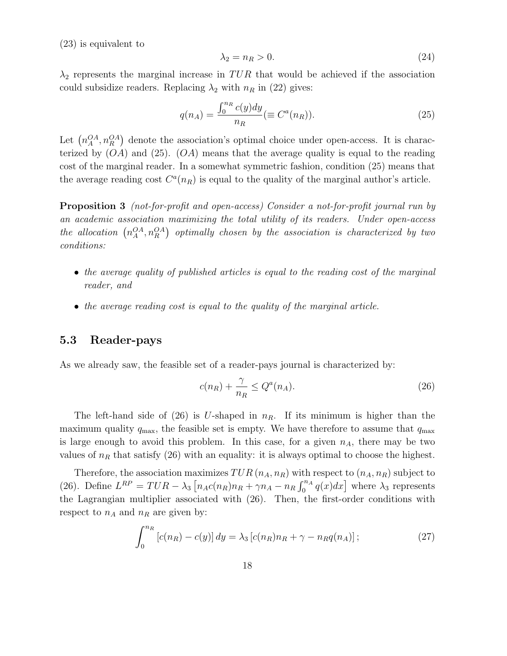(23) is equivalent to

$$
\lambda_2 = n_R > 0. \tag{24}
$$

 $\lambda_2$  represents the marginal increase in TUR that would be achieved if the association could subsidize readers. Replacing  $\lambda_2$  with  $n_R$  in (22) gives:

$$
q(n_A) = \frac{\int_0^{n_R} c(y) dy}{n_R} (\equiv C^a(n_R)).
$$
\n(25)

Let  $\left(n_A^{OA}, n_R^{OA}\right)$  denote the association's optimal choice under open-access. It is characterized by  $(OA)$  and  $(25)$ .  $(OA)$  means that the average quality is equal to the reading cost of the marginal reader. In a somewhat symmetric fashion, condition (25) means that the average reading cost  $C^a(n_R)$  is equal to the quality of the marginal author's article.

**Proposition 3** *(not-for-profit and open-access) Consider a not-for-profit journal run by an academic association maximizing the total utility of its readers. Under open-access*  $the \ \ allocation \ \, \left( n_A^{OA}, n_R^{OA} \right) \ \, optimally \ \, chosen \ \, by \ \, the \ \ association \ \, is \ \, characterized \ \, by \ \, two$ *conditions:*

- *the average quality of published articles is equal to the reading cost of the marginal reader, and*
- *the average reading cost is equal to the quality of the marginal article.*

#### **5.3 Reader-pays**

As we already saw, the feasible set of a reader-pays journal is characterized by:

$$
c(n_R) + \frac{\gamma}{n_R} \le Q^a(n_A). \tag{26}
$$

The left-hand side of (26) is U-shaped in  $n<sub>R</sub>$ . If its minimum is higher than the maximum quality  $q_{\text{max}}$ , the feasible set is empty. We have therefore to assume that  $q_{\text{max}}$ is large enough to avoid this problem. In this case, for a given  $n_A$ , there may be two values of  $n_R$  that satisfy (26) with an equality: it is always optimal to choose the highest.

Therefore, the association maximizes  $TUR(n_A, n_R)$  with respect to  $(n_A, n_R)$  subject to (26). Define  $L^{RP} = TUR - \lambda_3 \left[ n_A c(n_R) n_R + \gamma n_A - n_R \int_0^{n_A} q(x) dx \right]$  where  $\lambda_3$  represents the Lagrangian multiplier associated with (26). Then, the first-order conditions with respect to  $n_A$  and  $n_R$  are given by:

$$
\int_0^{n_R} [c(n_R) - c(y)] dy = \lambda_3 [c(n_R) n_R + \gamma - n_R q(n_A)]; \qquad (27)
$$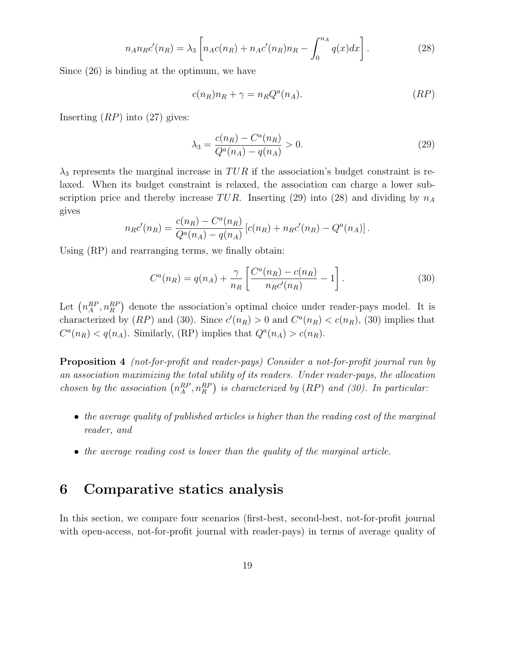$$
n_A n_R c'(n_R) = \lambda_3 \left[ n_A c(n_R) + n_A c'(n_R) n_R - \int_0^{n_A} q(x) dx \right].
$$
 (28)

Since (26) is binding at the optimum, we have

$$
c(n_R)n_R + \gamma = n_R Q^a(n_A). \tag{RP}
$$

Inserting  $(RP)$  into  $(27)$  gives:

$$
\lambda_3 = \frac{c(n_R) - C^a(n_R)}{Q^a(n_A) - q(n_A)} > 0.
$$
\n(29)

 $\lambda_3$  represents the marginal increase in TUR if the association's budget constraint is relaxed. When its budget constraint is relaxed, the association can charge a lower subscription price and thereby increase  $TUR$ . Inserting (29) into (28) and dividing by  $n_A$ gives

$$
n_R c'(n_R) = \frac{c(n_R) - C^a(n_R)}{Q^a(n_A) - q(n_A)} \left[ c(n_R) + n_R c'(n_R) - Q^a(n_A) \right].
$$

Using (RP) and rearranging terms, we finally obtain:

$$
C^{a}(n_{R}) = q(n_{A}) + \frac{\gamma}{n_{R}} \left[ \frac{C^{a}(n_{R}) - c(n_{R})}{n_{R}c'(n_{R})} - 1 \right].
$$
 (30)

Let  $\left(n_A^{RP}, n_B^{RP}\right)$  denote the association's optimal choice under reader-pays model. It is characterized by  $(RP)$  and  $(30)$ . Since  $c'(n_R) > 0$  and  $C^a(n_R) < c(n_R)$ ,  $(30)$  implies that  $C^a(n_R) < q(n_A)$ . Similarly, (RP) implies that  $Q^a(n_A) > c(n_R)$ .

**Proposition 4** *(not-for-profit and reader-pays) Consider a not-for-profit journal run by an association maximizing the total utility of its readers. Under reader-pays, the allocation chosen by the association*  $\left(n_A^{RP}, n_R^{RP}\right)$  *is characterized by*  $(RP)$  *and*  $(30)$ *. In particular:* 

- *the average quality of published articles is higher than the reading cost of the marginal reader, and*
- *the average reading cost is lower than the quality of the marginal article.*

### **6 Comparative statics analysis**

In this section, we compare four scenarios (first-best, second-best, not-for-profit journal with open-access, not-for-profit journal with reader-pays) in terms of average quality of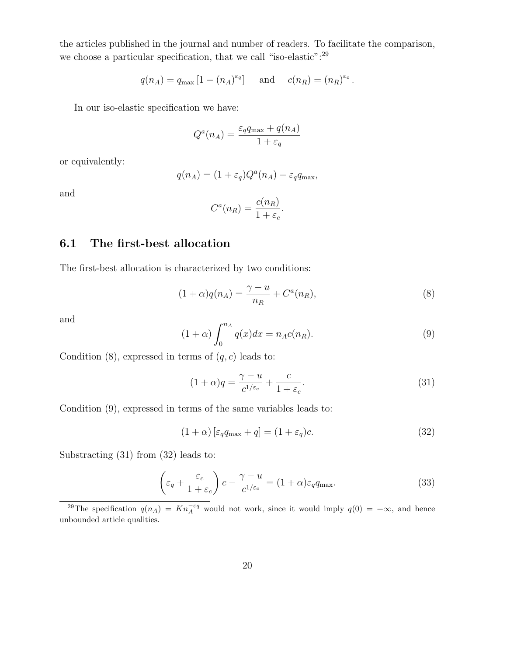the articles published in the journal and number of readers. To facilitate the comparison, we choose a particular specification, that we call "iso-elastic":<sup>29</sup>

$$
q(n_A) = q_{\text{max}} [1 - (n_A)^{\varepsilon_q}]
$$
 and  $c(n_R) = (n_R)^{\varepsilon_c}$ .

In our iso-elastic specification we have:

$$
Q^{a}(n_A) = \frac{\varepsilon_q q_{\text{max}} + q(n_A)}{1 + \varepsilon_q}
$$

or equivalently:

$$
q(n_A) = (1 + \varepsilon_q)Q^a(n_A) - \varepsilon_q q_{\max},
$$

and

$$
C^{a}(n_{R}) = \frac{c(n_{R})}{1 + \varepsilon_{c}}.
$$

### **6.1 The first-best allocation**

The first-best allocation is characterized by two conditions:

$$
(1+\alpha)q(n_A) = \frac{\gamma - u}{n_R} + C^a(n_R),\tag{8}
$$

and

$$
(1+\alpha)\int_0^{n_A} q(x)dx = n_A c(n_R). \tag{9}
$$

Condition  $(8)$ , expressed in terms of  $(q, c)$  leads to:

$$
(1+\alpha)q = \frac{\gamma - u}{c^{1/\varepsilon_c}} + \frac{c}{1+\varepsilon_c}.\tag{31}
$$

Condition (9), expressed in terms of the same variables leads to:

$$
(1+\alpha)\left[\varepsilon_q q_{\text{max}} + q\right] = (1+\varepsilon_q)c. \tag{32}
$$

Substracting  $(31)$  from  $(32)$  leads to:

$$
\left(\varepsilon_q + \frac{\varepsilon_c}{1 + \varepsilon_c}\right)c - \frac{\gamma - u}{c^{1/\varepsilon_c}} = (1 + \alpha)\varepsilon_q q_{\text{max}}.\tag{33}
$$

<sup>29</sup>The specification  $q(n_A) = Kn_A^{-\epsilon q}$  would not work, since it would imply  $q(0) = +\infty$ , and hence unbounded article qualities.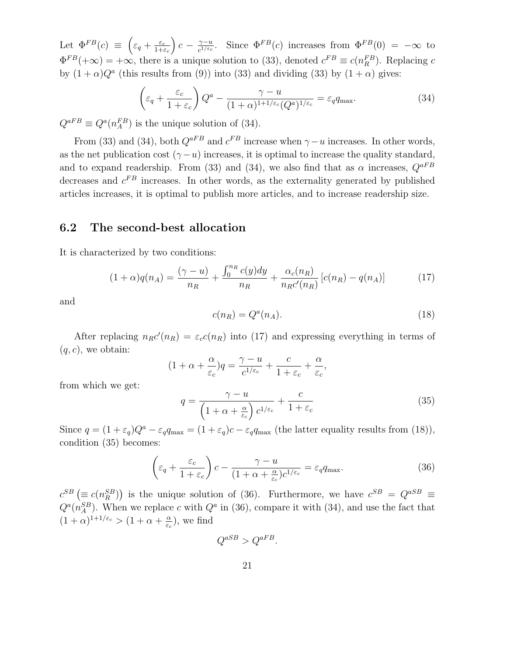Let  $\Phi^{FB}(c) \equiv \left(\varepsilon_q + \frac{\varepsilon_c}{1+\varepsilon_c}\right)$  $c - \frac{\gamma - u}{c^{1/\varepsilon_c}}$ . Since  $\Phi^{FB}(c)$  increases from  $\Phi^{FB}(0) = -\infty$  to  $\Phi^{FB}(+\infty) = +\infty$ , there is a unique solution to (33), denoted  $c^{FB} \equiv c(n_R^{FB})$ . Replacing c by  $(1 + \alpha)Q^a$  (this results from (9)) into (33) and dividing (33) by  $(1 + \alpha)$  gives:

$$
\left(\varepsilon_q + \frac{\varepsilon_c}{1 + \varepsilon_c}\right) Q^a - \frac{\gamma - u}{(1 + \alpha)^{1 + 1/\varepsilon_c} (Q^a)^{1/\varepsilon_c}} = \varepsilon_q q_{\text{max}}.\tag{34}
$$

 $Q^{aFB} \equiv Q^a(n_A^{FB})$  is the unique solution of (34).

From (33) and (34), both  $Q^{aFB}$  and  $c^{FB}$  increase when  $\gamma - u$  increases. In other words, as the net publication cost  $(γ - u)$  increases, it is optimal to increase the quality standard, and to expand readership. From (33) and (34), we also find that as  $\alpha$  increases,  $Q^{aFB}$ decreases and  $c^{FB}$  increases. In other words, as the externality generated by published articles increases, it is optimal to publish more articles, and to increase readership size.

#### **6.2 The second-best allocation**

It is characterized by two conditions:

$$
(1+\alpha)q(n_A) = \frac{(\gamma - u)}{n_R} + \frac{\int_0^{n_R} c(y) dy}{n_R} + \frac{\alpha_c(n_R)}{n_R c'(n_R)} [c(n_R) - q(n_A)] \tag{17}
$$

and

$$
c(n_R) = Q^a(n_A). \tag{18}
$$

After replacing  $n_R c'(n_R) = \varepsilon_c c(n_R)$  into (17) and expressing everything in terms of  $(q, c)$ , we obtain:

$$
(1 + \alpha + \frac{\alpha}{\varepsilon_c})q = \frac{\gamma - u}{c^{1/\varepsilon_c}} + \frac{c}{1 + \varepsilon_c} + \frac{\alpha}{\varepsilon_c},
$$

from which we get:

$$
q = \frac{\gamma - u}{\left(1 + \alpha + \frac{\alpha}{\varepsilon_c}\right)c^{1/\varepsilon_c}} + \frac{c}{1 + \varepsilon_c} \tag{35}
$$

Since  $q = (1 + \varepsilon_q)Q^a - \varepsilon_q q_{\text{max}} = (1 + \varepsilon_q)c - \varepsilon_q q_{\text{max}}$  (the latter equality results from (18)), condition (35) becomes:

$$
\left(\varepsilon_q + \frac{\varepsilon_c}{1 + \varepsilon_c}\right)c - \frac{\gamma - u}{(1 + \alpha + \frac{\alpha}{\varepsilon_c})c^{1/\varepsilon_c}} = \varepsilon_q q_{\text{max}}.\tag{36}
$$

 $c^{SB}$  ( $\equiv c(n_R^{SB})$ ) is the unique solution of (36). Furthermore, we have  $c^{SB} = Q^{aSB} \equiv$  $Q^a(n_A^{SB})$ . When we replace c with  $Q^a$  in (36), compare it with (34), and use the fact that  $(1+\alpha)^{1+1/\varepsilon_c} > (1+\alpha+\frac{\alpha}{\varepsilon_c})$ , we find

$$
Q^{aSB} > Q^{aFB}.
$$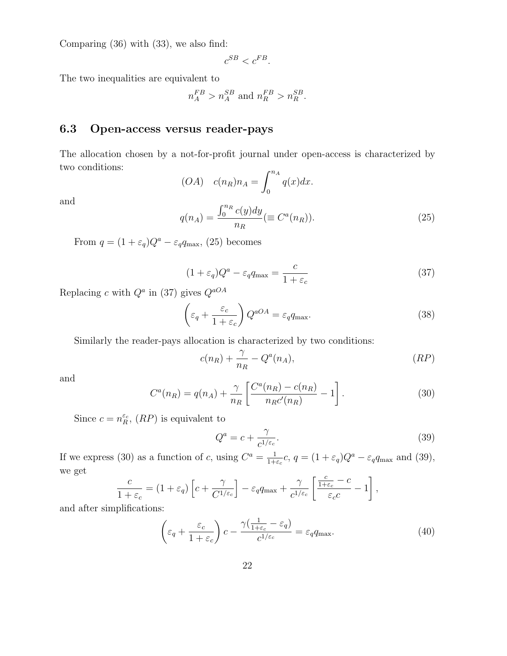Comparing (36) with (33), we also find:

$$
c^{SB} < c^{FB}.
$$

The two inequalities are equivalent to

$$
n_A^{FB} > n_A^{SB} \text{ and } n_R^{FB} > n_R^{SB}.
$$

### **6.3 Open-access versus reader-pays**

The allocation chosen by a not-for-profit journal under open-access is characterized by two conditions:

$$
(OA) \quad c(n_R)n_A = \int_0^{n_A} q(x)dx.
$$

and

$$
q(n_A) = \frac{\int_0^{n_R} c(y) dy}{n_R} (\equiv C^a(n_R)).
$$
\n(25)

From  $q = (1 + \varepsilon_q)Q^a - \varepsilon_q q_{\text{max}}$ , (25) becomes

$$
(1 + \varepsilon_q)Q^a - \varepsilon_q q_{\text{max}} = \frac{c}{1 + \varepsilon_c} \tag{37}
$$

Replacing c with  $Q^a$  in (37) gives  $Q^{aOA}$ 

$$
\left(\varepsilon_q + \frac{\varepsilon_c}{1 + \varepsilon_c}\right) Q^{aOA} = \varepsilon_q q_{\text{max}}.\tag{38}
$$

Similarly the reader-pays allocation is characterized by two conditions:

$$
c(n_R) + \frac{\gamma}{n_R} - Q^a(n_A), \qquad (RP)
$$

and

$$
C^{a}(n_{R}) = q(n_{A}) + \frac{\gamma}{n_{R}} \left[ \frac{C^{a}(n_{R}) - c(n_{R})}{n_{R}c'(n_{R})} - 1 \right].
$$
 (30)

Since  $c = n_R^{\varepsilon_c}$ ,  $(RP)$  is equivalent to

$$
Q^a = c + \frac{\gamma}{c^{1/\varepsilon_c}}.\tag{39}
$$

If we express (30) as a function of c, using  $C^a = \frac{1}{1+\varepsilon_c}c$ ,  $q = (1+\varepsilon_q)Q^a - \varepsilon_q q_{\text{max}}$  and (39), we get

$$
\frac{c}{1+\varepsilon_c} = (1+\varepsilon_q) \left[ c + \frac{\gamma}{C^{1/\varepsilon_c}} \right] - \varepsilon_q q_{\text{max}} + \frac{\gamma}{c^{1/\varepsilon_c}} \left[ \frac{\frac{c}{1+\varepsilon_c} - c}{\varepsilon_c c} - 1 \right],
$$

and after simplifications:

$$
\left(\varepsilon_q + \frac{\varepsilon_c}{1 + \varepsilon_c}\right)c - \frac{\gamma(\frac{1}{1 + \varepsilon_c} - \varepsilon_q)}{c^{1/\varepsilon_c}} = \varepsilon_q q_{\text{max}}.\tag{40}
$$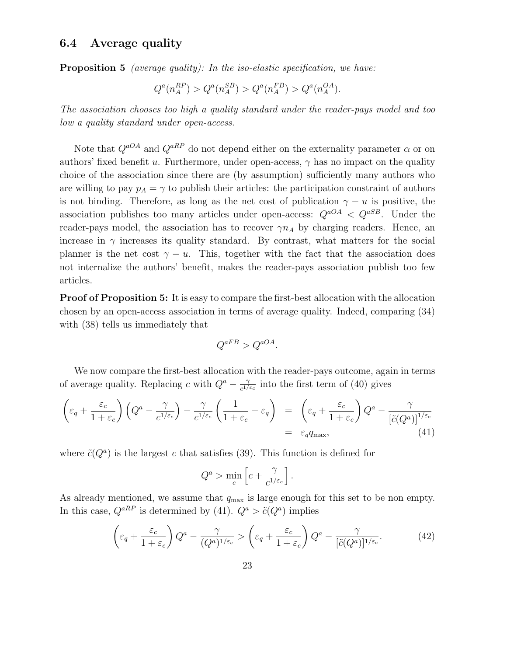**Proposition 5** *(average quality): In the iso-elastic specification, we have:*

$$
Q^{a}(n_{A}^{RP}) > Q^{a}(n_{A}^{SB}) > Q^{a}(n_{A}^{FB}) > Q^{a}(n_{A}^{OA}).
$$

*The association chooses too high a quality standard under the reader-pays model and too low a quality standard under open-access.*

Note that  $Q^{aO}$  and  $Q^{aRP}$  do not depend either on the externality parameter  $\alpha$  or on authors' fixed benefit u. Furthermore, under open-access,  $\gamma$  has no impact on the quality choice of the association since there are (by assumption) sufficiently many authors who are willing to pay  $p_A = \gamma$  to publish their articles: the participation constraint of authors is not binding. Therefore, as long as the net cost of publication  $\gamma - u$  is positive, the association publishes too many articles under open-access:  $Q^{aOA} < Q^{aSB}$ . Under the reader-pays model, the association has to recover  $\gamma n_A$  by charging readers. Hence, an increase in  $\gamma$  increases its quality standard. By contrast, what matters for the social planner is the net cost  $\gamma - u$ . This, together with the fact that the association does not internalize the authors' benefit, makes the reader-pays association publish too few articles.

**Proof of Proposition 5:** It is easy to compare the first-best allocation with the allocation chosen by an open-access association in terms of average quality. Indeed, comparing (34) with (38) tells us immediately that

$$
Q^{aFB} > Q^{aOA}.
$$

We now compare the first-best allocation with the reader-pays outcome, again in terms of average quality. Replacing c with  $Q^a - \frac{\gamma}{c^{1/\varepsilon_c}}$  into the first term of (40) gives

$$
\left(\varepsilon_{q} + \frac{\varepsilon_{c}}{1+\varepsilon_{c}}\right)\left(Q^{a} - \frac{\gamma}{c^{1/\varepsilon_{c}}}\right) - \frac{\gamma}{c^{1/\varepsilon_{c}}}\left(\frac{1}{1+\varepsilon_{c}} - \varepsilon_{q}\right) = \left(\varepsilon_{q} + \frac{\varepsilon_{c}}{1+\varepsilon_{c}}\right)Q^{a} - \frac{\gamma}{\left[\tilde{c}(Q^{a})\right]^{1/\varepsilon_{c}}}
$$
\n
$$
= \varepsilon_{q}q_{\max},\tag{41}
$$

where  $\tilde{c}(Q^a)$  is the largest c that satisfies (39). This function is defined for

$$
Q^a > \min_c \left[ c + \frac{\gamma}{c^{1/\varepsilon_c}} \right].
$$

As already mentioned, we assume that  $q_{\text{max}}$  is large enough for this set to be non empty. In this case,  $Q^{aRP}$  is determined by (41).  $Q^a > \tilde{c}(Q^a)$  implies

$$
\left(\varepsilon_q + \frac{\varepsilon_c}{1 + \varepsilon_c}\right) Q^a - \frac{\gamma}{(Q^a)^{1/\varepsilon_c}} > \left(\varepsilon_q + \frac{\varepsilon_c}{1 + \varepsilon_c}\right) Q^a - \frac{\gamma}{[\tilde{c}(Q^a)]^{1/\varepsilon_c}}.\tag{42}
$$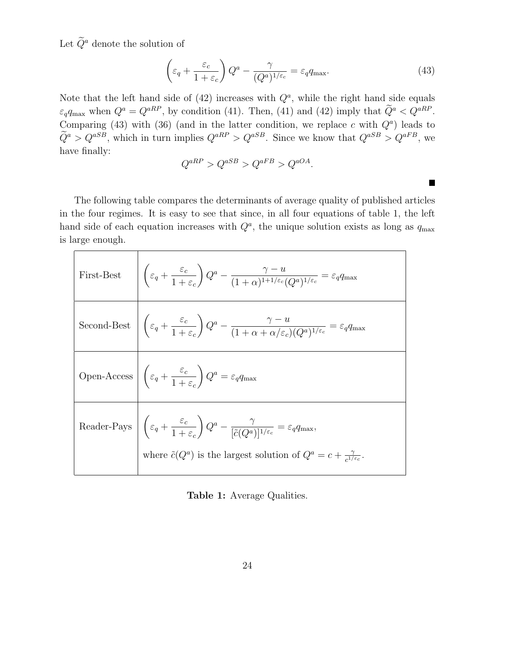Let  $\widetilde{Q}^a$  denote the solution of

$$
\left(\varepsilon_q + \frac{\varepsilon_c}{1 + \varepsilon_c}\right) Q^a - \frac{\gamma}{(Q^a)^{1/\varepsilon_c}} = \varepsilon_q q_{\text{max}}.\tag{43}
$$

 $\blacksquare$ 

Note that the left hand side of  $(42)$  increases with  $Q<sup>a</sup>$ , while the right hand side equals  $\varepsilon_q q_{\text{max}}$  when  $Q^a = Q^{aRP}$ , by condition (41). Then, (41) and (42) imply that  $\widetilde{Q}^a < Q^{aRP}$ . Comparing (43) with (36) (and in the latter condition, we replace c with  $Q^a$ ) leads to  $\tilde{Q}^a > Q^{aSB}$ , which in turn implies  $Q^{aRP} > Q^{aSB}$ . Since we know that  $Q^{aSB} > Q^{aFB}$ , we have finally:

$$
Q^{aRP} > Q^{aSB} > Q^{aFB} > Q^{aOA}.
$$

The following table compares the determinants of average quality of published articles in the four regimes. It is easy to see that since, in all four equations of table 1, the left hand side of each equation increases with  $Q^a$ , the unique solution exists as long as  $q_{\text{max}}$ is large enough.

| First-Best $\left[\left(\varepsilon_q + \frac{\varepsilon_c}{1+\varepsilon_c}\right)Q^a - \frac{\gamma - u}{(1+\alpha)^{1+1/\varepsilon_c}(Q^a)^{1/\varepsilon_c}} = \varepsilon_q q_{\max}\right]$                                                                                                      |
|----------------------------------------------------------------------------------------------------------------------------------------------------------------------------------------------------------------------------------------------------------------------------------------------------------|
| Second-Best $\left  \left( \varepsilon_q + \frac{\varepsilon_c}{1+\varepsilon_c} \right) Q^a - \frac{\gamma - u}{(1+\alpha+\alpha/\varepsilon_c)(Q^a)^{1/\varepsilon_c}} = \varepsilon_q q_{\max} \right $                                                                                               |
| Open-Access $\left  \left( \varepsilon_q + \frac{\varepsilon_c}{1 + \varepsilon_c} \right) Q^a = \varepsilon_q q_{\text{max}} \right $                                                                                                                                                                   |
| Reader-Pays $\begin{cases} \left(\varepsilon_q + \frac{\varepsilon_c}{1+\varepsilon_c}\right) Q^a - \frac{\gamma}{[\tilde{c}(Q^a)]^{1/\varepsilon_c}} = \varepsilon_q q_{\text{max}}, \end{cases}$<br>where $\tilde{c}(Q^a)$ is the largest solution of $Q^a = c + \frac{\gamma}{c^{1/\varepsilon_c}}$ . |
|                                                                                                                                                                                                                                                                                                          |

**Table 1:** Average Qualities.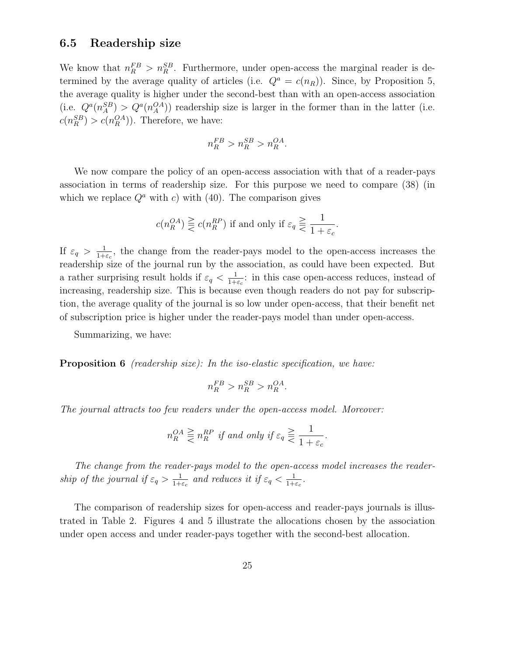#### **6.5 Readership size**

We know that  $n_R^{FB} > n_R^{SB}$ . Furthermore, under open-access the marginal reader is determined by the average quality of articles (i.e.  $Q^a = c(n_R)$ ). Since, by Proposition 5, the average quality is higher under the second-best than with an open-access association (i.e.  $Q^a(n_A^{SB}) > Q^a(n_A^{OA})$ ) readership size is larger in the former than in the latter (i.e.  $c(n_R^{SB}) > c(n_R^{OA})$ ). Therefore, we have:

$$
n_R^{FB} > n_R^{SB} > n_R^{OA}.
$$

We now compare the policy of an open-access association with that of a reader-pays association in terms of readership size. For this purpose we need to compare (38) (in which we replace  $Q^a$  with c) with (40). The comparison gives

$$
c(n_R^{OA}) \geq c(n_R^{RP})
$$
 if and only if  $\varepsilon_q \geq \frac{1}{1+\varepsilon_c}$ .

If  $\varepsilon_q > \frac{1}{1+\varepsilon_c}$ , the change from the reader-pays model to the open-access increases the readership size of the journal run by the association, as could have been expected. But a rather surprising result holds if  $\varepsilon_q < \frac{1}{1+\varepsilon_q}$ : in this case open-access reduces, instead of increasing, readership size. This is because even though readers do not pay for subscription, the average quality of the journal is so low under open-access, that their benefit net of subscription price is higher under the reader-pays model than under open-access.

Summarizing, we have:

**Proposition 6** *(readership size): In the iso-elastic specification, we have:*

$$
n_R^{FB} > n_R^{SB} > n_R^{OA}.
$$

*The journal attracts too few readers under the open-access model. Moreover:*

$$
n_R^{OA} \geq n_R^{RP} \text{ if and only if } \varepsilon_q \geq \frac{1}{1 + \varepsilon_c}.
$$

*The change from the reader-pays model to the open-access model increases the readership of the journal if*  $\varepsilon_q > \frac{1}{1+\varepsilon_c}$  *and reduces it if*  $\varepsilon_q < \frac{1}{1+\varepsilon_c}$ *.* 

The comparison of readership sizes for open-access and reader-pays journals is illustrated in Table 2. Figures 4 and 5 illustrate the allocations chosen by the association under open access and under reader-pays together with the second-best allocation.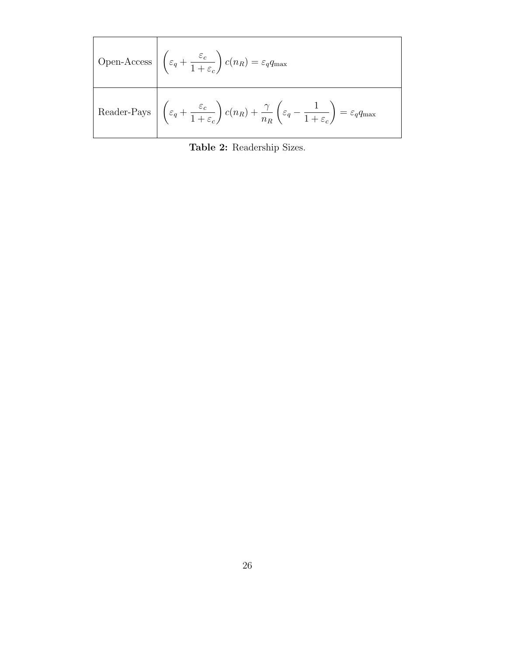| Open-Access $\left( \varepsilon_q + \frac{\varepsilon_c}{1 + \varepsilon_c} \right) c(n_R) = \varepsilon_q q_{\text{max}}$                                                                                                |
|---------------------------------------------------------------------------------------------------------------------------------------------------------------------------------------------------------------------------|
| Reader-Pays $\left  \left( \varepsilon_q + \frac{\varepsilon_c}{1 + \varepsilon_c} \right) c(n_R) + \frac{\gamma}{n_R} \left( \varepsilon_q - \frac{1}{1 + \varepsilon_c} \right) = \varepsilon_q q_{\text{max}} \right $ |

**Table 2:** Readership Sizes.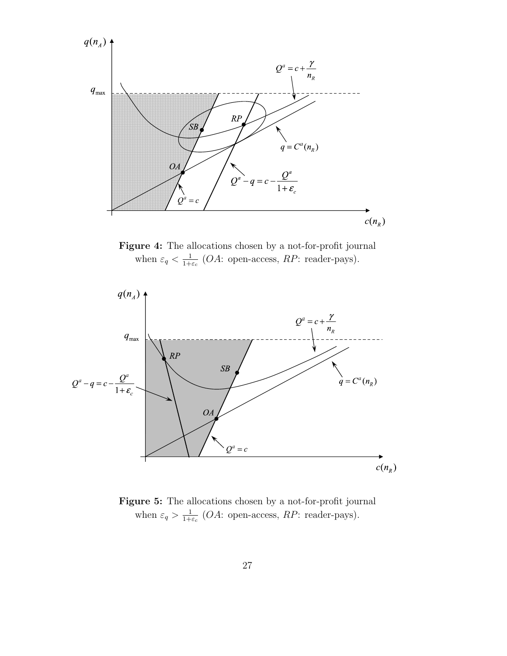

**Figure 4:** The allocations chosen by a not-for-profit journal when  $\varepsilon_q < \frac{1}{1+\varepsilon_c}$  (*OA*: open-access, *RP*: reader-pays).



**Figure 5:** The allocations chosen by a not-for-profit journal when  $\varepsilon_q > \frac{1}{1+\varepsilon_c}$  (*OA*: open-access, *RP*: reader-pays).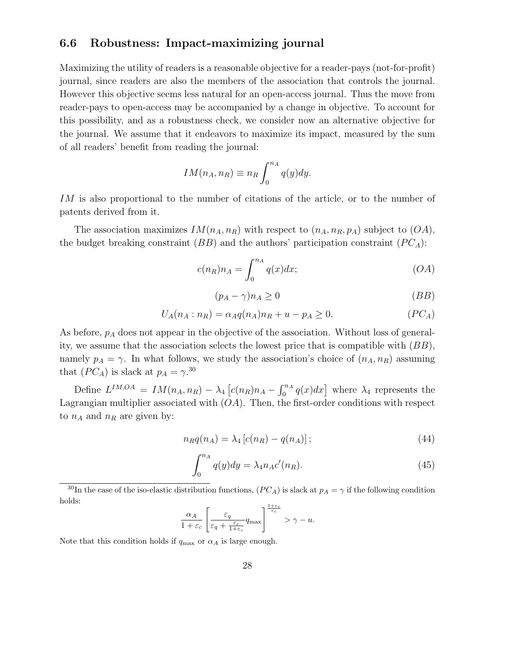#### **6.6 Robustness: Impact-maximizing journal**

Maximizing the utility of readers is a reasonable objective for a reader-pays (not-for-profit) journal, since readers are also the members of the association that controls the journal. However this objective seems less natural for an open-access journal. Thus the move from reader-pays to open-access may be accompanied by a change in objective. To account for this possibility, and as a robustness check, we consider now an alternative objective for the journal. We assume that it endeavors to maximize its impact, measured by the sum of all readers' benefit from reading the journal:

$$
IM(n_A, n_R) \equiv n_R \int_0^{n_A} q(y) dy.
$$

IM is also proportional to the number of citations of the article, or to the number of patents derived from it.

The association maximizes  $IM(n_A, n_R)$  with respect to  $(n_A, n_R, p_A)$  subject to  $(OA)$ , the budget breaking constraint  $(BB)$  and the authors' participation constraint  $(PC_A)$ :

$$
c(n_R)n_A = \int_0^{n_A} q(x)dx;
$$
\n<sup>(OA)</sup>

$$
(p_A - \gamma)n_A \ge 0 \tag{BB}
$$

$$
U_A(n_A : n_R) = \alpha_A q(n_A) n_R + u - p_A \ge 0. \tag{PC_A}
$$

As before,  $p_A$  does not appear in the objective of the association. Without loss of generality, we assume that the association selects the lowest price that is compatible with  $(BB)$ , namely  $p_A = \gamma$ . In what follows, we study the association's choice of  $(n_A, n_R)$  assuming that  $(PC_A)$  is slack at  $p_A = \gamma^{0.30}$ 

Define  $L^{IM,OA} = IM(n_A, n_R) - \lambda_4 \left[c(n_R)n_A - \int_0^{n_A} q(x)dx\right]$  where  $\lambda_4$  represents the Lagrangian multiplier associated with  $(OA)$ . Then, the first-order conditions with respect to  $n_A$  and  $n_R$  are given by:

$$
n_R q(n_A) = \lambda_4 \left[ c(n_R) - q(n_A) \right];\tag{44}
$$

$$
\int_0^{n_A} q(y) dy = \lambda_4 n_A c'(n_R). \tag{45}
$$

$$
\frac{\alpha_A}{1+\varepsilon_c} \left[ \frac{\varepsilon_q}{\varepsilon_q + \frac{\varepsilon_c}{1+\varepsilon_c}} q_{\text{max}} \right]^{\frac{1+\varepsilon_c}{\varepsilon_c}} > \gamma - u.
$$

Note that this condition holds if  $q_{\text{max}}$  or  $\alpha_A$  is large enough.

<sup>&</sup>lt;sup>30</sup>In the case of the iso-elastic distribution functions,  $(PC_A)$  is slack at  $p_A = \gamma$  if the following condition holds: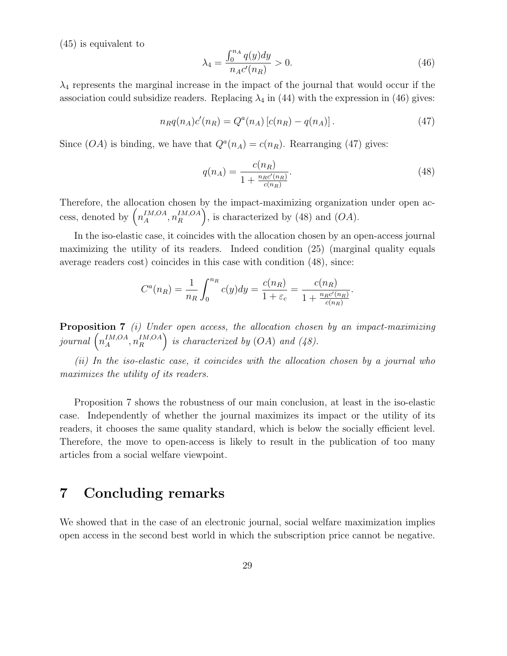(45) is equivalent to

$$
\lambda_4 = \frac{\int_0^{n_A} q(y) dy}{n_A c'(n_R)} > 0.
$$
\n(46)

 $\lambda_4$  represents the marginal increase in the impact of the journal that would occur if the association could subsidize readers. Replacing  $\lambda_4$  in (44) with the expression in (46) gives:

$$
n_R q(n_A) c'(n_R) = Q^a(n_A) [c(n_R) - q(n_A)]. \qquad (47)
$$

Since  $(OA)$  is binding, we have that  $Q^{a}(n_A) = c(n_R)$ . Rearranging (47) gives:

$$
q(n_A) = \frac{c(n_R)}{1 + \frac{n_R c'(n_R)}{c(n_R)}}.\t(48)
$$

Therefore, the allocation chosen by the impact-maximizing organization under open access, denoted by  $\left(n_A^{IM,OA}, n_R^{IM,OA}\right)$ ), is characterized by  $(48)$  and  $(OA)$ .

In the iso-elastic case, it coincides with the allocation chosen by an open-access journal maximizing the utility of its readers. Indeed condition (25) (marginal quality equals average readers cost) coincides in this case with condition (48), since:

$$
C^{a}(n_{R}) = \frac{1}{n_{R}} \int_{0}^{n_{R}} c(y) dy = \frac{c(n_{R})}{1 + \varepsilon_{c}} = \frac{c(n_{R})}{1 + \frac{n_{R}c'(n_{R})}{c(n_{R})}}.
$$

**Proposition 7** *(i) Under open access, the allocation chosen by an impact-maximizing*  $\hat{J}$ *journal*  $\left(n_A^{IM,OA}, n_R^{IM,OA}\right)$ *is characterized by* (OA) *and (48).*

*(ii) In the iso-elastic case, it coincides with the allocation chosen by a journal who maximizes the utility of its readers.*

Proposition 7 shows the robustness of our main conclusion, at least in the iso-elastic case. Independently of whether the journal maximizes its impact or the utility of its readers, it chooses the same quality standard, which is below the socially efficient level. Therefore, the move to open-access is likely to result in the publication of too many articles from a social welfare viewpoint.

## **7 Concluding remarks**

We showed that in the case of an electronic journal, social welfare maximization implies open access in the second best world in which the subscription price cannot be negative.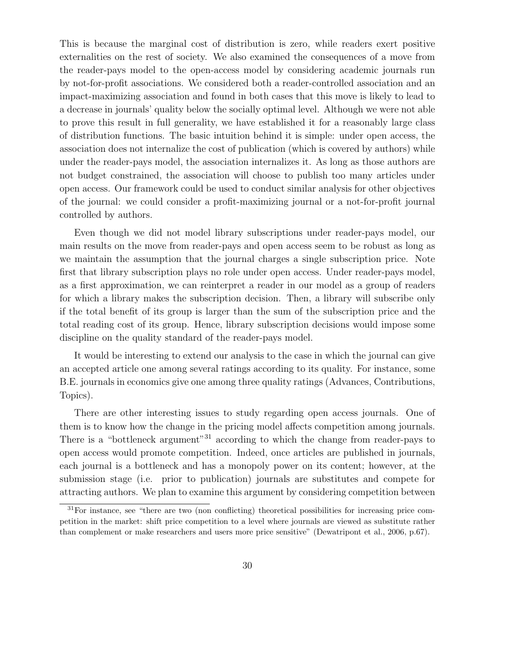This is because the marginal cost of distribution is zero, while readers exert positive externalities on the rest of society. We also examined the consequences of a move from the reader-pays model to the open-access model by considering academic journals run by not-for-profit associations. We considered both a reader-controlled association and an impact-maximizing association and found in both cases that this move is likely to lead to a decrease in journals' quality below the socially optimal level. Although we were not able to prove this result in full generality, we have established it for a reasonably large class of distribution functions. The basic intuition behind it is simple: under open access, the association does not internalize the cost of publication (which is covered by authors) while under the reader-pays model, the association internalizes it. As long as those authors are not budget constrained, the association will choose to publish too many articles under open access. Our framework could be used to conduct similar analysis for other objectives of the journal: we could consider a profit-maximizing journal or a not-for-profit journal controlled by authors.

Even though we did not model library subscriptions under reader-pays model, our main results on the move from reader-pays and open access seem to be robust as long as we maintain the assumption that the journal charges a single subscription price. Note first that library subscription plays no role under open access. Under reader-pays model, as a first approximation, we can reinterpret a reader in our model as a group of readers for which a library makes the subscription decision. Then, a library will subscribe only if the total benefit of its group is larger than the sum of the subscription price and the total reading cost of its group. Hence, library subscription decisions would impose some discipline on the quality standard of the reader-pays model.

It would be interesting to extend our analysis to the case in which the journal can give an accepted article one among several ratings according to its quality. For instance, some B.E. journals in economics give one among three quality ratings (Advances, Contributions, Topics).

There are other interesting issues to study regarding open access journals. One of them is to know how the change in the pricing model affects competition among journals. There is a "bottleneck argument"<sup>31</sup> according to which the change from reader-pays to open access would promote competition. Indeed, once articles are published in journals, each journal is a bottleneck and has a monopoly power on its content; however, at the submission stage (i.e. prior to publication) journals are substitutes and compete for attracting authors. We plan to examine this argument by considering competition between

<sup>31</sup>For instance, see "there are two (non conflicting) theoretical possibilities for increasing price competition in the market: shift price competition to a level where journals are viewed as substitute rather than complement or make researchers and users more price sensitive" (Dewatripont et al., 2006, p.67).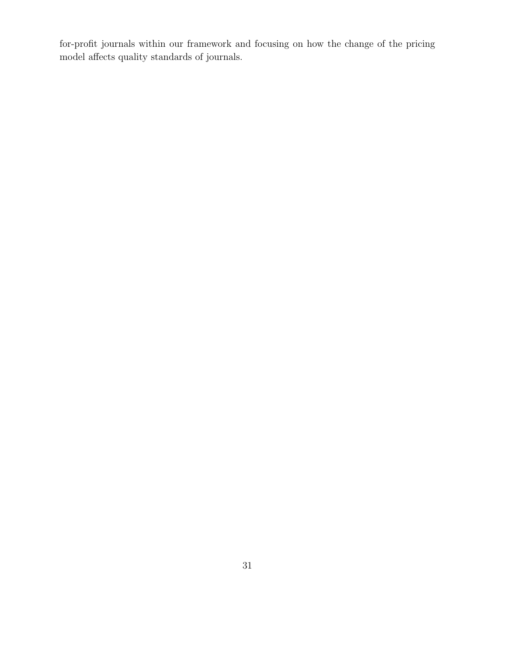for-profit journals within our framework and focusing on how the change of the pricing model affects quality standards of journals.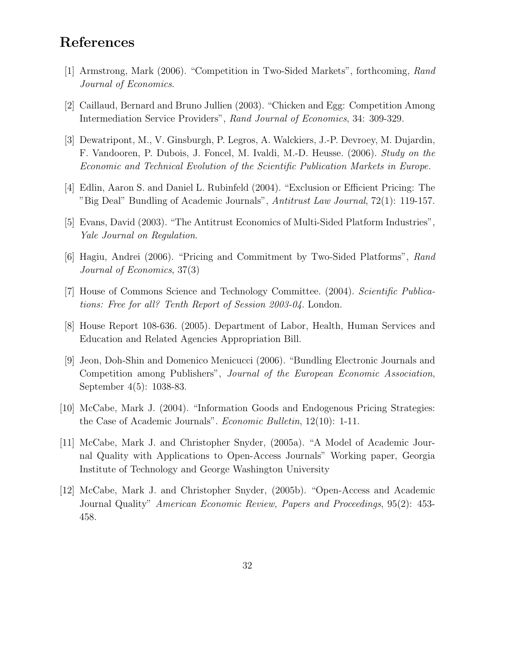# **References**

- [1] Armstrong, Mark (2006). "Competition in Two-Sided Markets", forthcoming, *Rand Journal of Economics*.
- [2] Caillaud, Bernard and Bruno Jullien (2003). "Chicken and Egg: Competition Among Intermediation Service Providers", *Rand Journal of Economics*, 34: 309-329.
- [3] Dewatripont, M., V. Ginsburgh, P. Legros, A. Walckiers, J.-P. Devroey, M. Dujardin, F. Vandooren, P. Dubois, J. Foncel, M. Ivaldi, M.-D. Heusse. (2006). *Study on the Economic and Technical Evolution of the Scientific Publication Markets in Europe.*
- [4] Edlin, Aaron S. and Daniel L. Rubinfeld (2004). "Exclusion or Efficient Pricing: The "Big Deal" Bundling of Academic Journals", *Antitrust Law Journal*, 72(1): 119-157.
- [5] Evans, David (2003). "The Antitrust Economics of Multi-Sided Platform Industries", *Yale Journal on Regulation*.
- [6] Hagiu, Andrei (2006). "Pricing and Commitment by Two-Sided Platforms", *Rand Journal of Economics*, 37(3)
- [7] House of Commons Science and Technology Committee. (2004). *Scientific Publications: Free for all? Tenth Report of Session 2003-04*. London.
- [8] House Report 108-636. (2005). Department of Labor, Health, Human Services and Education and Related Agencies Appropriation Bill.
- [9] Jeon, Doh-Shin and Domenico Menicucci (2006). "Bundling Electronic Journals and Competition among Publishers", *Journal of the European Economic Association*, September 4(5): 1038-83.
- [10] McCabe, Mark J. (2004). "Information Goods and Endogenous Pricing Strategies: the Case of Academic Journals". *Economic Bulletin*, 12(10): 1-11.
- [11] McCabe, Mark J. and Christopher Snyder, (2005a). "A Model of Academic Journal Quality with Applications to Open-Access Journals" Working paper, Georgia Institute of Technology and George Washington University
- [12] McCabe, Mark J. and Christopher Snyder, (2005b). "Open-Access and Academic Journal Quality" *American Economic Review, Papers and Proceedings*, 95(2): 453- 458.